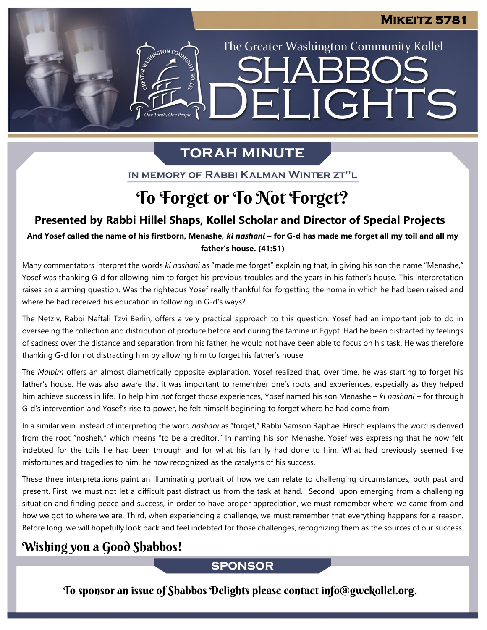The Greater Washington Community Kollel

ELIGHTS

# **TORAH MINUTE**

IN MEMORY OF RABBI KALMAN WINTER ZT"L

# To Forget or To Not Forget?

## **Presented by Rabbi Hillel Shaps, Kollel Scholar and Director of Special Projects**

And Yosef called the name of his firstborn, Menashe, *ki nashani* – for G-d has made me forget all my toil and all my **father's house. (41:51)**

Many commentators interpret the words *ki nashani* as "made me forget" explaining that, in giving his son the name "Menashe," Yosef was thanking G-d for allowing him to forget his previous troubles and the years in his father's house. This interpretation raises an alarming question. Was the righteous Yosef really thankful for forgetting the home in which he had been raised and where he had received his education in following in G-d's ways?

The Netziv, Rabbi Naftali Tzvi Berlin, offers a very practical approach to this question. Yosef had an important job to do in overseeing the collection and distribution of produce before and during the famine in Egypt. Had he been distracted by feelings of sadness over the distance and separation from his father, he would not have been able to focus on his task. He was therefore thanking G-d for not distracting him by allowing him to forget his father's house.

The *Malbim* offers an almost diametrically opposite explanation. Yosef realized that, over time, he was starting to forget his father's house. He was also aware that it was important to remember one's roots and experiences, especially as they helped him achieve success in life. To help him *not* forget those experiences, Yosef named his son Menashe – *ki nashani –* for through G-d's intervention and Yosef's rise to power, he felt himself beginning to forget where he had come from.

In a similar vein, instead of interpreting the word *nashani* as "forget," Rabbi Samson Raphael Hirsch explains the word is derived from the root "nosheh," which means "to be a creditor." In naming his son Menashe, Yosef was expressing that he now felt indebted for the toils he had been through and for what his family had done to him. What had previously seemed like misfortunes and tragedies to him, he now recognized as the catalysts of his success.

These three interpretations paint an illuminating portrait of how we can relate to challenging circumstances, both past and present. First, we must not let a difficult past distract us from the task at hand. Second, upon emerging from a challenging situation and finding peace and success, in order to have proper appreciation, we must remember where we came from and how we got to where we are. Third, when experiencing a challenge, we must remember that everything happens for a reason. Before long, we will hopefully look back and feel indebted for those challenges, recognizing them as the sources of our success.

## Wishing you a Good Shabbos!

### **SPONSOR**

To sponsor an issue of Shabbos Delights please contact info@gwckollel.org.